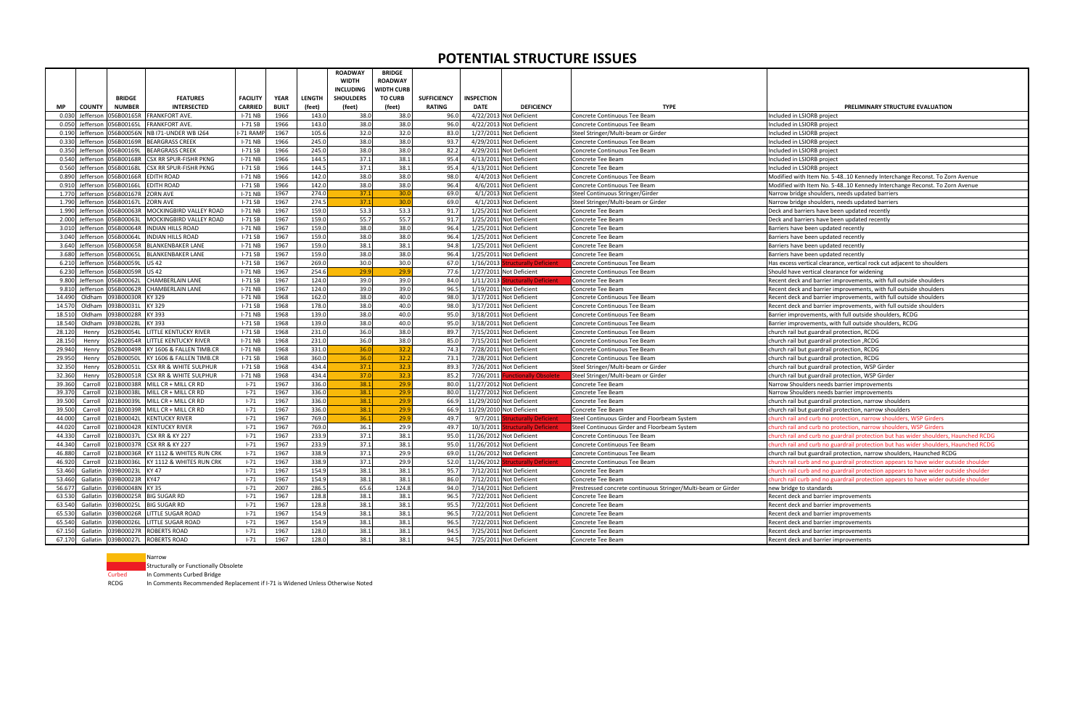|           |                                |               |                                     |                 |              |               | <b>ROADWAY</b>   | <b>BRIDGE</b>     |                    |                   |                                   |                                                               |                                                                                     |
|-----------|--------------------------------|---------------|-------------------------------------|-----------------|--------------|---------------|------------------|-------------------|--------------------|-------------------|-----------------------------------|---------------------------------------------------------------|-------------------------------------------------------------------------------------|
|           |                                |               |                                     |                 |              |               | <b>WIDTH</b>     | <b>ROADWAY</b>    |                    |                   |                                   |                                                               |                                                                                     |
|           |                                |               |                                     |                 |              |               | <b>INCLUDING</b> | <b>NIDTH CURB</b> |                    |                   |                                   |                                                               |                                                                                     |
|           |                                | <b>BRIDGE</b> | <b>FEATURES</b>                     | <b>FACILITY</b> | <b>YEAR</b>  | <b>LENGTH</b> | <b>SHOULDERS</b> | <b>TO CURB</b>    | <b>SUFFICIENCY</b> | <b>INSPECTION</b> |                                   |                                                               |                                                                                     |
| <b>MP</b> | <b>COUNTY</b><br><b>NUMBER</b> |               | <b>INTERSECTED</b>                  | CARRIED         | <b>BUILT</b> | (feet)        | (feet)           | (feet)            | <b>RATING</b>      | <b>DATE</b>       | <b>DEFICIENCY</b>                 | <b>TYPE</b>                                                   | PRELIMINARY STRUCTURE EVALUATION                                                    |
| 0.03(     | Jeffersor<br>056B00165R        |               | FRANKFORT AVE.                      | $I-71$ NB       | 1966         | 143.0         | 38.0             | 38.0              | 96.0               |                   | 4/22/2013 Not Deficient           | Concrete Continuous Tee Beam                                  | Included in LSIORB project                                                          |
| 0.050     | Jeffersor<br>056B00165L        |               | <b>FRANKFORT AVE.</b>               | $I-71$ SB       | 1966         | 143.0         | 38.0             | 38.0              | 96.0               |                   | 4/22/2013 Not Deficient           | Concrete Continuous Tee Beam                                  | Included in LSIORB project                                                          |
| 0.190     | Jefferson<br>056B00056N        |               | <b>NB 171-UNDER WB 1264</b>         | -71 RAMF        | 1967         | 105.6         | 32.0             | 32.0              | 83.0               |                   | 1/27/2011 Not Deficient           | Steel Stringer/Multi-beam or Girder                           | Included in LSIORB project                                                          |
| 0.330     | Jefferson<br>056B00169R        |               | <b>BEARGRASS CREEK</b>              | $I-71$ NB       | 1966         | 245.0         | 38.0             | 38.0              | 93.7               |                   | 4/29/2011 Not Deficient           | Concrete Continuous Tee Beam                                  | Included in LSIORB project                                                          |
| 0.350     | Jeffersor<br>056B00169L        |               | <b>BEARGRASS CREEK</b>              | $I-71SB$        | 1966         | 245.0         | 38.0             | 38.0              | 82.2               |                   | 4/29/2011 Not Deficient           | Concrete Continuous Tee Beam                                  | Included in LSIORB project                                                          |
| 0.540     | Jeffersor<br>056B00168R        |               | <b>CSX RR SPUR-FISHR PKNG</b>       | $I-71$ NB       | 1966         | 144.5         | 37.1             | 38.1              | 95.4               |                   | 4/13/2011 Not Deficient           | Concrete Tee Beam                                             | Included in LSIORB project                                                          |
| 0.56      | 056B00168L<br>Jefferson        |               | <b>CSX RR SPUR-FISHR PKNG</b>       | $I-71$ SB       | 1966         | 144.5         | 37.1             | 38.1              | 95.4               |                   | 4/13/2011 Not Deficient           | Concrete Tee Beam                                             | Included in LSIORB project                                                          |
| 0.890     | Jefferson<br>056B00166R        |               | <b>EDITH ROAD</b>                   | $I-71$ NB       | 1966         | 142.0         | 38.0             | 38.0              | 98.0               |                   | 4/4/2013 Not Deficient            | Concrete Continuous Tee Beam                                  | Modified with Item No. 5-4810 Kennedy Interchange Reconst. To Zorn Avenue           |
| 0.910     | 056B00166L<br>Jefferson        |               | <b>EDITH ROAD</b>                   | $I-71$ SB       | 1966         | 142.0         | 38.0             | 38.0              | 96.4               |                   | 4/6/2011 Not Deficient            | Concrete Continuous Tee Beam                                  | Modified with Item No. 5-4810 Kennedy Interchange Reconst. To Zorn Avenue           |
| 1.770     | Jefferson<br>056B00167R        |               | <b>ZORN AVE</b>                     | $I-71$ NB       | 1967         | 274.0         | 37.1             | 30.0              | 69.0               |                   | 4/1/2013 Not Deficient            | Steel Continuous Stringer/Girder                              | Narrow bridge shoulders, needs updated barriers                                     |
| 1.79      | Jefferson<br>056B00167L        |               | <b>ZORN AVE</b>                     | $I-71$ SB       | 1967         | 274.5         | 37.1             | 30.0              | 69.0               |                   | 4/1/2013 Not Deficient            | Steel Stringer/Multi-beam or Girder                           | Narrow bridge shoulders, needs updated barriers                                     |
| 1.990     | Jefferson<br>056B00063R        |               | MOCKINGBIRD VALLEY ROAD             | $I-71$ NB       | 1967         | 159.0         | 53.3             | 53.3              | 91.7               |                   | 1/25/2011 Not Deficient           | Concrete Tee Beam                                             | Deck and barriers have been updated recently                                        |
| 2.000     | Jeffersor<br>056B00063L        |               | MOCKINGBIRD VALLEY ROAD             | $I-71SB$        | 1967         | 159.0         | 55.7             | 55.7              | 91.7               |                   | 1/25/2011 Not Deficient           | Concrete Tee Beam                                             | Deck and barriers have been updated recently                                        |
| 3.010     | Jeffersor<br>056B00064R        |               | <b>INDIAN HILLS ROAD</b>            | $I-71$ NB       | 1967         | 159.0         | 38.0             | 38.0              | 96.4               |                   | 1/25/2011 Not Deficient           | Concrete Tee Beam                                             | Barriers have been updated recently                                                 |
| 3.040     | Jefferson<br>056B00064L        |               | <b>INDIAN HILLS ROAD</b>            | $I-71$ SB       | 1967         | 159.0         | 38.0             | 38.0              | 96.4               |                   | 1/25/2011 Not Deficient           | Concrete Tee Beam                                             | Barriers have been updated recently                                                 |
| 3.640     | 056B00065R<br>Jefferson        |               | <b>BLANKENBAKER LANE</b>            | $I-71$ NB       | 1967         | 159.0         | 38.1             | 38.1              | 94.8               |                   | 1/25/2011 Not Deficient           | Concrete Tee Beam                                             | Barriers have been updated recently                                                 |
| 3.680     | Jeffersor<br>056B00065L        |               | <b>BLANKENBAKER LANE</b>            | $I-71SB$        | 1967         | 159.0         | 38.0             | 38.0              | 96.4               |                   | 1/25/2011 Not Deficient           | Concrete Tee Beam                                             | Barriers have been updated recently                                                 |
| 6.210     | 056B00059L<br>Jefferson        |               | <b>US42</b>                         | $I-71$ SB       | 1967         | 269.0         | 30.0             | 30.0              | 67.0               | 1/16/2013         | ructurally Deficient              | Concrete Continuous Tee Beam                                  | Has excess vertical clearance, vertical rock cut adjacent to shoulders              |
| 6.230     | Jeffersor<br>056B00059R        |               | <b>US42</b>                         | $I-71$ NB       | 1967         | 254.6         | 29.9             | 29.9              | 77.6               |                   | 1/27/2011 Not Deficient           | Concrete Continuous Tee Beam                                  | Should have vertical clearance for widening                                         |
| 9.800     | Jefferson<br>056B00062L        |               | <b>CHAMBERLAIN LANE</b>             | $I-71$ SB       | 1967         | 124.0         | 39.0             | 39.0              | 84.0               | $1/11/2013$ S     | tructurally Deficient             | Concrete Tee Beam                                             | Recent deck and barrier improvements, with full outside shoulders                   |
| 9.810     | Jeffersor<br>056B00062R        |               | <b>CHAMBERLAIN LANE</b>             | $I-71$ NB       | 1967         | 124.0         | 39.0             | 39.0              | 96.5               |                   | 1/19/2011 Not Deficient           | Concrete Tee Beam                                             | Recent deck and barrier improvements, with full outside shoulders                   |
| 14.490    | 093B00030R<br>Oldham           |               | KY 329                              | $I-71$ NB       | 1968         | 162.0         | 38.0             | 40.0              | 98.0               |                   | 3/17/2011 Not Deficient           | Concrete Continuous Tee Beam                                  | Recent deck and barrier improvements, with full outside shoulders                   |
| 14.57     | 093B00031L<br>Oldham           |               | KY 329                              | $I-71SB$        | 1968         | 178.0         | 38.0             | 40.0              | 98.0               |                   | 3/17/2011 Not Deficient           | Concrete Continuous Tee Beam                                  | Recent deck and barrier improvements, with full outside shoulders                   |
| 18.51     | Oldham<br>093B00028R           |               | KY 393                              | $I-71$ NB       | 1968         | 139.0         | 38.0             | 40.0              | 95.0               |                   | 3/18/2011 Not Deficient           | Concrete Continuous Tee Beam                                  | Barrier improvements, with full outside shoulders, RCDG                             |
| 18.540    | Oldham<br>093B00028L           |               | KY 393                              | $I-71$ SB       | 1968         | 139.0         | 38.0             | 40.0              | 95.0               |                   | 3/18/2011 Not Deficient           | Concrete Continuous Tee Beam                                  | Barrier improvements, with full outside shoulders, RCDG                             |
| 28.12     | 052B00054L<br>Henry            |               | LITTLE KENTUCKY RIVER               | $I-71$ SB       | 1968         | 231.0         | 36.0             | 38.0              | 89.7               |                   | 7/15/2011 Not Deficient           | Concrete Continuous Tee Beam                                  | church rail but guardrail protection, RCDG                                          |
| 28.15     | 052B00054R<br>Henry            |               | LITTLE KENTUCKY RIVER               | $I-71$ NB       | 1968         | 231.0         | 36.0             | 38.0              | 85.0               |                   | 7/15/2011 Not Deficient           | Concrete Continuous Tee Beam                                  | church rail but guardrail protection , RCDG                                         |
| 29.94     | 052B00049R<br>Henry            |               | KY 1606 & FALLEN TIMB.CF            | $I-71$ NB       | 1968         | 331.0         | 36.0             | 32.2              | 74.3               |                   | 7/28/2011 Not Deficient           | Concrete Continuous Tee Beam                                  | church rail but guardrail protection, RCDG                                          |
| 29.95     | 052B00050L<br>Henry            |               | KY 1606 & FALLEN TIMB.CR            | $I-71SB$        | 1968         | 360.0         | 36.0             | 32.2              | 73.1               |                   | 7/28/2011 Not Deficient           | Concrete Continuous Tee Beam                                  | church rail but guardrail protection, RCDG                                          |
| 32.35     | 052B00051L<br>Henry            |               | <b>CSX RR &amp; WHITE SULPHUR</b>   | $I-71SB$        | 1968         | 434.4         | 37.1             | 32.3              | 89.3               |                   | 7/26/2011 Not Deficient           | Steel Stringer/Multi-beam or Girder                           | church rail but guardrail protection, WSP Girder                                    |
| 32.360    | 052B00051R<br>Henry            |               | <b>CSX RR &amp; WHITE SULPHUR</b>   | $I-71$ NB       | 1968         | 434.4         | 37.0             | 32.3              | 85.2               | 7/26/2011         | <b>Ictionally Obsolete</b>        | Steel Stringer/Multi-beam or Girder                           | church rail but guardrail protection, WSP Girder                                    |
| 39.36     | 021B00038R<br>Carroll          |               | MILL CR + MILL CR RD                | $1 - 71$        | 1967         | 336.0         | 38.1             | 29.9              | 80.0               |                   | 11/27/2012 Not Deficient          | Concrete Tee Beam                                             | Narrow Shoulders needs barrier improvements                                         |
| 39.370    | 021B00038L<br>Carroll          |               | MILL CR + MILL CR RD                | $1 - 71$        | 1967         | 336.0         | 38.1             | 29.9              | 80.0               |                   | 11/27/2012 Not Deficient          | Concrete Tee Beam                                             | Narrow Shoulders needs barrier improvements                                         |
| 39.50     | 021B00039L<br>Carroll          |               | MILL CR + MILL CR RD                | $1 - 71$        | 1967         | 336.0         | 38.1             | 29.9              | 66.9               |                   | 11/29/2010 Not Deficient          | Concrete Tee Beam                                             | church rail but guardrail protection, narrow shoulders                              |
| 39.50     | 021B00039R<br>Carroll          |               | MILL CR + MILL CR RD                | $1 - 71$        | 1967         | 336.0         | 38.1             | 29.9              | 66.9               |                   | 11/29/2010 Not Deficient          | Concrete Tee Beam                                             | church rail but guardrail protection, narrow shoulders                              |
| 44.00     | 021B00042L<br>Carroll          |               | <b>KENTUCKY RIVER</b>               | $1 - 71$        | 1967         | 769.0         | 36.1             | 29.9              | 49.7               | 9/7/2011          | ructurally Deficient              | Steel Continuous Girder and Floorbeam System                  | church rail and curb no protection, narrow shoulders, WSP Girders                   |
| 44.02     | Carroll<br>021B00042R          |               | <b>KENTUCKY RIVER</b>               | $1 - 71$        | 1967         | 769.0         | 36.1             | 29.9              | 49.7               | 10/3/2011 S       | ucturally Deficient               | Steel Continuous Girder and Floorbeam System                  | church rail and curb no protection, narrow shoulders, WSP Girders                   |
| 44.33     | 021B00037L<br>Carroll          |               | <b>CSX RR &amp; KY 227</b>          | $1 - 71$        | 1967         | 233.9         | 37.1             | 38.1              | 95.0               |                   | 11/26/2012 Not Deficient          | Concrete Continuous Tee Beam                                  | church rail and curb no guardrail protection but has wider shoulders, Haunched RCDG |
| 44.34     | 021B00037R<br>Carroll          |               | <b>CSX RR &amp; KY 227</b>          | $1 - 71$        | 1967         | 233.9         | 37.1             | 38.1              | 95.0               |                   | 11/26/2012 Not Deficient          | Concrete Continuous Tee Beam                                  | church rail and curb no guardrail protection but has wider shoulders, Haunched RCDG |
| 46.88     | 021B00036R<br>Carroll          |               | KY 1112 & WHITES RUN CRK            | $1 - 71$        | 1967         | 338.9         | 37.1             | 29.9              | 69.0               |                   | 11/26/2012 Not Deficient          | Concrete Continuous Tee Beam                                  | church rail but guardrail protection, narrow shoulders, Haunched RCDG               |
| 46.920    | Carroll                        |               | 021B00036L KY 1112 & WHITES RUN CRK | $1 - 71$        | 1967         | 338.9         | 37.1             | 29.9              | 52.0               |                   | 11/26/2012 Structurally Deficient | Concrete Continuous Tee Beam                                  | church rail curb and no guardrail protection appears to have wider outside shoulder |
| 53.460    | Gallatin 039B00023L KY 47      |               |                                     | $1 - 71$        | 1967         | 154.9         | 38.1             | 38.1              | 95.7               |                   | 7/12/2011 Not Deficient           | Concrete Tee Beam                                             | church rail curb and no guardrail protection appears to have wider outside shoulder |
| 53.460    | 039B00023R KY47<br>Gallatin    |               |                                     | $1 - 71$        | 1967         | 154.9         | 38.1             | 38.1              | 86.0               |                   | 7/12/2011 Not Deficient           | Concrete Tee Beam                                             | church rail curb and no guardrail protection appears to have wider outside shoulder |
| 56.677    | 039B00048N KY 35<br>Gallatin   |               |                                     | $1 - 71$        | 2007         | 286.5         | 65.6             | 124.8             | 94.0               |                   | 7/14/2011 Not Deficient           | Prestressed concrete continuous Stringer/Multi-beam or Girder | new bridge to standards                                                             |
| 63.530    | Gallatin                       |               | 039B00025R BIG SUGAR RD             | $1 - 71$        | 1967         | 128.8         | 38.1             | 38.1              | 96.5               |                   | 7/22/2011 Not Deficient           | Concrete Tee Beam                                             | Recent deck and barrier improvements                                                |
| 63.540    | 039B00025L<br>Gallatin         |               | <b>BIG SUGAR RD</b>                 | $1 - 71$        | 1967         | 128.8         | 38.1             | 38.1              | 95.5               |                   | 7/22/2011 Not Deficient           | Concrete Tee Beam                                             | Recent deck and barrier improvements                                                |
| 65.530    | Gallatin                       |               | 039B00026R LITTLE SUGAR ROAD        | $1 - 71$        | 1967         | 154.9         | 38.1             | 38.1              | 96.5               |                   | 7/22/2011 Not Deficient           | Concrete Tee Beam                                             | Recent deck and barrier improvements                                                |
| 65.540    | Gallatin<br>039B00026L         |               | LITTLE SUGAR ROAD                   | $1 - 71$        | 1967         | 154.9         | 38.1             | 38.1              | 96.5               |                   | 7/22/2011 Not Deficient           | Concrete Tee Beam                                             | Recent deck and barrier improvements                                                |
| 67.150    | Gallatin                       |               | 039B00027R ROBERTS ROAD             | $1 - 71$        | 1967         | 128.0         | 38.1             | 38.1              | 94.5               |                   | 7/25/2011 Not Deficient           | Concrete Tee Beam                                             | Recent deck and barrier improvements                                                |
| 67.170    | Gallatin                       |               | 039B00027L ROBERTS ROAD             | $1 - 71$        | 1967         | 128.0         | 38.1             | 38.1              | 94.5               |                   | 7/25/2011 Not Deficient           | Concrete Tee Beam                                             | Recent deck and barrier improvements                                                |



**Structurally or Functionally Obsolete** 

Curbed In Comments Curbed Bridge

RCDG In Comments Recommended Replacement if I-71 is Widened Unless Otherwise Noted

## **POTENTIAL STRUCTURE ISSUES**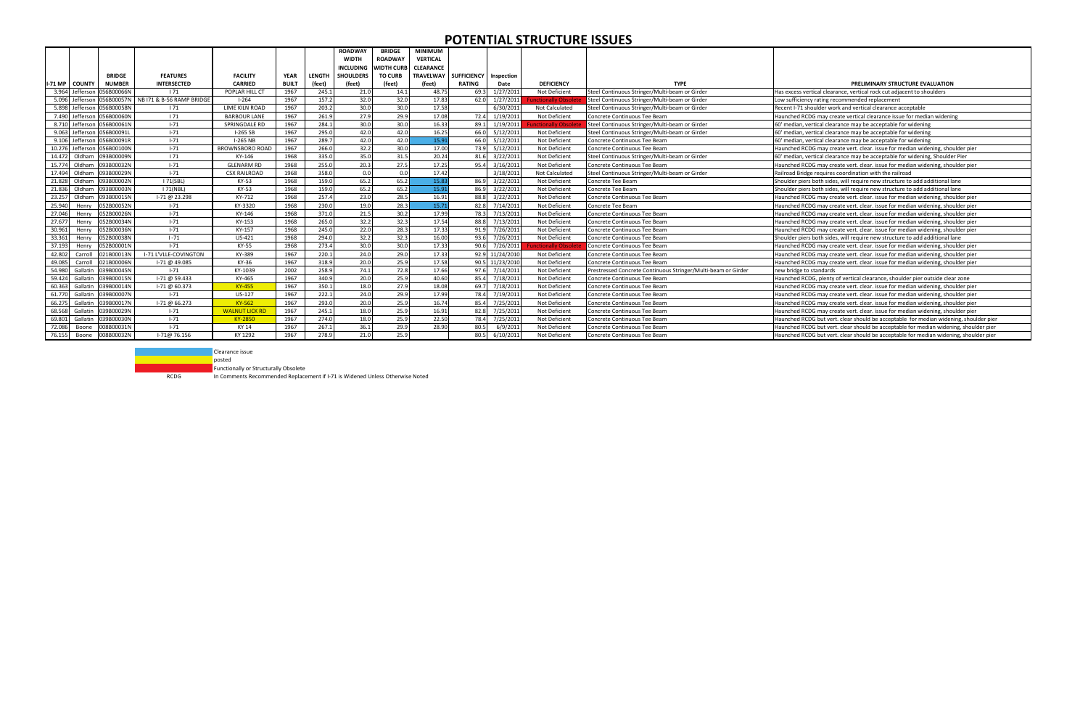|        |                  |                            |                                        |                        |              |        | <b>ROADWAY</b>                 | <b>BRIDGE</b><br><b>MINIMUM</b>   |                  |                    |                 |                   |                                                               |                                                                                       |
|--------|------------------|----------------------------|----------------------------------------|------------------------|--------------|--------|--------------------------------|-----------------------------------|------------------|--------------------|-----------------|-------------------|---------------------------------------------------------------|---------------------------------------------------------------------------------------|
|        |                  |                            |                                        |                        |              |        | <b>WIDTH</b>                   | <b>ROADWAY</b><br><b>VERTICAL</b> |                  |                    |                 |                   |                                                               |                                                                                       |
|        |                  |                            |                                        |                        |              |        | <b>WIDTH CURB</b><br>INCLUDING |                                   | <b>CLEARANCE</b> |                    |                 |                   |                                                               |                                                                                       |
|        |                  | <b>BRIDGE</b>              | <b>FEATURES</b>                        | <b>FACILITY</b>        | <b>YEAR</b>  | LENGTH | <b>SHOULDERS</b>               | <b>TO CURB</b>                    | <b>TRAVELWAY</b> | <b>SUFFICIENCY</b> | Inspection      |                   |                                                               |                                                                                       |
|        | -71 MP   COUNTY  | <b>NUMBER</b>              | <b>INTERSECTED</b>                     | <b>CARRIED</b>         | <b>BUILT</b> | (feet) | (feet)                         | (feet)                            | (feet)           | RATING             | Date            | <b>DEFICIENCY</b> | <b>TYPE</b>                                                   | PRELIMINARY STRUCTURE EVALUATION                                                      |
|        | 3.964 Jeffersor  | 056B00066N                 | 171                                    | POPLAR HILL CT         | 1967         | 245.1  | 21.0                           | 14.1                              | 48.75            | 69.3               | 1/27/2011       | Not Deficient     | Steel Continuous Stringer/Multi-beam or Girder                | Has excess vertical clearance, vertical rock cut adjacent to shoulders                |
|        | 5.096 Jefferson  |                            | 056B00057N   NB I71 & B-56 RAMP BRIDGE | $1 - 264$              | 1967         | 157.2  | 32.0                           | 32.0                              | 17.83            | 62.0               | 1/27/2011       | unctionally Obso  | Steel Continuous Stringer/Multi-beam or Girder                | Low sufficiency rating recommended replacement                                        |
|        | 5.898 Jefferson  | 056B00058N                 | 171                                    | <b>LIME KILN ROAD</b>  | 1967         | 203.2  | 30.0                           | 30.0                              | 17.58            |                    | 6/30/2011       | Not Calculated    | Steel Continuous Stringer/Multi-beam or Girder                | Recent I-71 shoulder work and vertical clearance acceptable                           |
|        |                  | 7.490 Jefferson 056B00060N | 171                                    | <b>BARBOUR LANE</b>    | 1967         | 261.9  | 27.9                           | 29.9                              | 17.08            | 72.4               | 1/19/2011       | Not Deficient     | Concrete Continuous Tee Beam                                  | Haunched RCDG may create vertical clearance issue for median widening                 |
|        |                  | 8.710 Jefferson 056B00061N | $1 - 71$                               | SPRINGDALE RD          | 1967         | 284.1  | 30.0                           | 30.0                              | 16.33            | 89.1               | 1/19/2011       | unctionally Obso  | Steel Continuous Stringer/Multi-beam or Girder                | 60' median, vertical clearance may be acceptable for widening                         |
|        |                  | 9.063 Jefferson 056B00091L | $1 - 71$                               | I-265 SB               | 1967         | 295.0  | 42.0                           | 42.0                              | 16.25            | 66.0               | 5/12/2011       | Not Deficient     | Steel Continuous Stringer/Multi-beam or Girder                | 60' median, vertical clearance may be acceptable for widening                         |
|        |                  | 9.106 Jefferson 056B00091R | $1 - 71$                               | <b>I-265 NB</b>        | 1967         | 289.7  | 42.0                           | 42.0                              | 15.91            | 66.0               | 5/12/2011       | Not Deficient     | Concrete Continuous Tee Beam                                  | 60' median, vertical clearance may be acceptable for widening                         |
|        | 10.276 Jefferson | 056B00100N                 | $1 - 71$                               | <b>BROWNSBORO ROAD</b> | 1967         | 266.0  | 32.2                           | 30.0                              | 17.00            | 73.9               | 5/12/2011       | Not Deficient     | Concrete Continuous Tee Beam                                  | Haunched RCDG may create vert. clear. issue for median widening, shoulder pier        |
|        |                  | 14.472 Oldham 093B00009N   | 171                                    | KY-146                 | 1968         | 335.0  | 35.0                           | 31.5                              | 20.24            | 81.6               | 3/22/2011       | Not Deficient     | Steel Continuous Stringer/Multi-beam or Girder                | 60' median, vertical clearance may be acceptable for widening, Shoulder Pier          |
|        | 15.774 Oldham    | 093B00032N                 | $1 - 71$                               | <b>GLENARM RD</b>      | 1968         | 255.0  | 20.3                           | 27.5                              | 17.25            | 95.4               | 3/16/2011       | Not Deficient     | Concrete Continuous Tee Beam                                  | Haunched RCDG may create vert. clear. issue for median widening, shoulder pier        |
|        | 17.494 Oldham    | 093B00029N                 | $1 - 71$                               | <b>CSX RAILROAD</b>    | 1968         | 358.0  | 0.0                            | 0.0                               | 17.42            |                    | 3/18/2011       | Not Calculated    | Steel Continuous Stringer/Multi-beam or Girder                | Railroad Bridge requires coordination with the railroad                               |
|        | 21.828 Oldham    | 093B00002N                 | 171(SBL)                               | KY-53                  | 1968         | 159.0  | 65.2                           | 65.2                              | 15.83            | 86.9               | 3/22/2011       | Not Deficient     | Concrete Tee Beam                                             | Shoulder piers both sides, will require new structure to add additional lane          |
|        | 21.836 Oldham    | 093B00003N                 | 171(NBL)                               | KY-53                  | 1968         | 159.0  | 65.2                           | 65.2                              | 15.91            | 86.9               | 3/22/2011       | Not Deficient     | Concrete Tee Beam                                             | Shoulder piers both sides, will require new structure to add additional lane          |
|        | 23.257 Oldham    | 093B00015N                 | I-71 @ 23.298                          | KY-712                 | 1968         | 257.4  | 23.0                           | 28.5                              | 16.91            | 88.8               | 3/22/2011       | Not Deficient     | Concrete Continuous Tee Beam                                  | Haunched RCDG may create vert. clear. issue for median widening, shoulder pier        |
| 25.940 | Henry            | 052B00052N                 | $1 - 71$                               | KY-3320                | 1968         | 230.0  | 19.0                           | 28.3                              | 15.71            | 82.8               | 7/14/2011       | Not Deficient     | Concrete Tee Beam                                             | Haunched RCDG may create vert. clear. issue for median widening, shoulder pier        |
| 27.046 | Henr             | 052B00026N                 | $1 - 71$                               | KY-146                 | 1968         | 371.0  | 21.5                           | 30.2                              | 17.99            | 78.3               | 7/13/2011       | Not Deficient     | Concrete Continuous Tee Beam                                  | Haunched RCDG may create vert. clear. issue for median widening, shoulder pier        |
| 27.67  | Henr             | 052B00034N                 | $1 - 71$                               | KY-153                 | 1968         | 265.0  | 32.2                           | 32.3                              | 17.54            | 88.8               | 7/13/2011       | Not Deficient     | Concrete Continuous Tee Beam                                  | Haunched RCDG may create vert. clear. issue for median widening, shoulder pier        |
| 30.961 | Henr             | 052B00036N                 | $1 - 71$                               | KY-157                 | 1968         | 245.0  | 22.0                           | 28.3                              | 17.33            | 91.9               | 7/26/2011       | Not Deficient     | Concrete Continuous Tee Beam                                  | Haunched RCDG may create vert. clear. issue for median widening, shoulder pier        |
| 33.361 | Henry            | 052B00038N                 | $1 - 71$                               | US-421                 | 1968         | 294.0  | 32.2                           | 32.3                              | 16.00            |                    | 93.6 7/26/2011  | Not Deficient     | Concrete Continuous Tee Beam                                  | Shoulder piers both sides, will require new structure to add additional lane          |
| 37.193 | Henry            | 052B00001N                 | $1 - 71$                               | KY-55                  | 1968         | 273.4  | 30.0                           | 30.0                              | 17.33            | 90.6               | 7/26/2011       | unctionally Obso  | Concrete Continuous Tee Beam                                  | Haunched RCDG may create vert. clear. issue for median widening, shoulder pier        |
| 42.802 | Carrol           | 021B00013N                 | I-71 L'VLLE-COVINGTON                  | KY-389                 | 1967         | 220.1  | 24.0                           | 29.0                              | 17.33            |                    | 92.9 11/24/2010 | Not Deficient     | Concrete Continuous Tee Beam                                  | Haunched RCDG may create vert. clear. issue for median widening, shoulder pier        |
| 49.085 | Carrol           | 021B00006N                 | 1-71 @ 49.085                          | KY-36                  | 1967         | 318.9  | 20.0                           | 25.9                              | 17.58            |                    | 90.5 11/23/2010 | Not Deficient     | Concrete Continuous Tee Beam                                  | Haunched RCDG may create vert. clear. issue for median widening, shoulder pier        |
| 54.980 | Gallatir         | 039B00045N                 | $1 - 71$                               | KY-1039                | 2002         | 258.9  | 74.1                           | 72.8                              | 17.66            | 97.6               | 7/14/2011       | Not Deficient     | Prestressed Concrete Continuous Stringer/Multi-beam or Girder | new bridge to standards                                                               |
| 59.424 | Gallatin         | 039B00015N                 | I-71 @ 59.433                          | KY-465                 | 1967         | 340.9  | 20.0                           | 25.9                              | 40.60            | 85.4               | 7/18/2011       | Not Deficient     | Concrete Continuous Tee Beam                                  | Haunched RCDG, plenty of vertical clearance, shoulder pier outside clear zone         |
| 60.363 | Gallatin         | 039B00014N                 | $1-71$ @ 60.373                        | KY-455                 | 1967         | 350.1  | 18.0                           | 27.9                              | 18.08            | 69.7               | 7/18/2011       | Not Deficient     | Concrete Continuous Tee Beam                                  | Haunched RCDG may create vert. clear. issue for median widening, shoulder pier        |
|        | 61.770 Gallatin  | 039B00007N                 | $1 - 71$                               | US-127                 | 1967         | 222.1  | 24.0                           | 29.9                              | 17.99            | 78.4               | 7/19/2011       | Not Deficient     | Concrete Continuous Tee Beam                                  | Haunched RCDG may create vert. clear. issue for median widening, shoulder pier        |
|        | 66.275 Gallatin  | 039B00017N                 | $1-71$ @ 66.273                        | <b>KY-562</b>          | 1967         | 293.0  | 20.0                           | 25.9                              | 16.74            | 85.4               | 7/25/2011       | Not Deficient     | Concrete Continuous Tee Beam                                  | Haunched RCDG may create vert. clear. issue for median widening, shoulder pier        |
|        | 68.568 Gallatin  | 39B00029N                  | $1 - 71$                               | <b>WALNUT LICK RD</b>  | 1967         | 245.1  | 18.0                           | 25.9                              | 16.91            | 82.8               | 7/25/2011       | Not Deficient     | Concrete Continuous Tee Beam                                  | Haunched RCDG may create vert. clear. issue for median widening, shoulder pier        |
|        | 69.801 Gallatin  | 39B00030N                  | $1 - 71$                               | <b>KY-2850</b>         | 1967         | 274.0  | 18.0                           | 25.9                              | 22.50            | 78.4               | 7/25/2011       | Not Deficient     | Concrete Continuous Tee Beam                                  | Haunched RCDG but vert. clear should be acceptable for median widening, shoulder pier |
| 72.086 | Boone            | 08B00031N                  | $1 - 71$                               | KY 14                  | 1967         | 267.1  | 36.1                           | 29.9                              | 28.90            | 80.5               | 6/9/2011        | Not Deficient     | Concrete Continuous Tee Beam                                  | Haunched RCDG but vert. clear should be acceptable for median widening, shoulder pier |
| 76.155 | Boone            | 008B00032N                 | I-71@ 76.156                           | KY 1292                | 1967         | 278.9  | 21.0                           | 25.9                              |                  | 80.5               | 6/10/2011       | Not Deficient     | Concrete Continuous Tee Beam                                  | Haunched RCDG but vert. clear should be acceptable for median widening, shoulder pier |



**Functionally or Structurally Obsolete** 

RCDG In Comments Recommended Replacement if I-71 is Widened Unless Otherwise Noted

## **POTENTIAL STRUCTURE ISSUES**